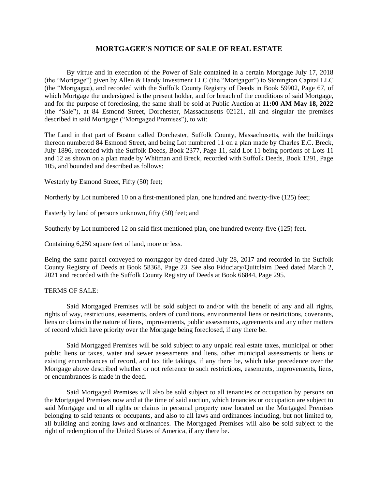## **MORTGAGEE'S NOTICE OF SALE OF REAL ESTATE**

By virtue and in execution of the Power of Sale contained in a certain Mortgage July 17, 2018 (the "Mortgage") given by Allen & Handy Investment LLC (the "Mortgagor") to Stonington Capital LLC (the "Mortgagee), and recorded with the Suffolk County Registry of Deeds in Book 59902, Page 67, of which Mortgage the undersigned is the present holder, and for breach of the conditions of said Mortgage, and for the purpose of foreclosing, the same shall be sold at Public Auction at **11:00 AM May 18, 2022** (the "Sale"), at 84 Esmond Street, Dorchester, Massachusetts 02121, all and singular the premises described in said Mortgage ("Mortgaged Premises"), to wit:

The Land in that part of Boston called Dorchester, Suffolk County, Massachusetts, with the buildings thereon numbered 84 Esmond Street, and being Lot numbered 11 on a plan made by Charles E.C. Breck, July 1896, recorded with the Suffolk Deeds, Book 2377, Page 11, said Lot 11 being portions of Lots 11 and 12 as shown on a plan made by Whitman and Breck, recorded with Suffolk Deeds, Book 1291, Page 105, and bounded and described as follows:

Westerly by Esmond Street, Fifty (50) feet;

Northerly by Lot numbered 10 on a first-mentioned plan, one hundred and twenty-five (125) feet;

Easterly by land of persons unknown, fifty (50) feet; and

Southerly by Lot numbered 12 on said first-mentioned plan, one hundred twenty-five (125) feet.

Containing 6,250 square feet of land, more or less.

Being the same parcel conveyed to mortgagor by deed dated July 28, 2017 and recorded in the Suffolk County Registry of Deeds at Book 58368, Page 23. See also Fiduciary/Quitclaim Deed dated March 2, 2021 and recorded with the Suffolk County Registry of Deeds at Book 66844, Page 295.

## TERMS OF SALE:

Said Mortgaged Premises will be sold subject to and/or with the benefit of any and all rights, rights of way, restrictions, easements, orders of conditions, environmental liens or restrictions, covenants, liens or claims in the nature of liens, improvements, public assessments, agreements and any other matters of record which have priority over the Mortgage being foreclosed, if any there be.

Said Mortgaged Premises will be sold subject to any unpaid real estate taxes, municipal or other public liens or taxes, water and sewer assessments and liens, other municipal assessments or liens or existing encumbrances of record, and tax title takings, if any there be, which take precedence over the Mortgage above described whether or not reference to such restrictions, easements, improvements, liens, or encumbrances is made in the deed.

Said Mortgaged Premises will also be sold subject to all tenancies or occupation by persons on the Mortgaged Premises now and at the time of said auction, which tenancies or occupation are subject to said Mortgage and to all rights or claims in personal property now located on the Mortgaged Premises belonging to said tenants or occupants, and also to all laws and ordinances including, but not limited to, all building and zoning laws and ordinances. The Mortgaged Premises will also be sold subject to the right of redemption of the United States of America, if any there be.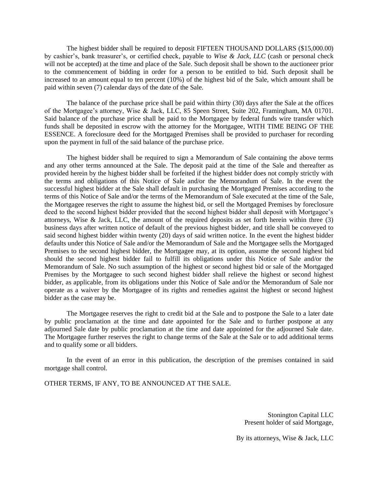The highest bidder shall be required to deposit FIFTEEN THOUSAND DOLLARS (\$15,000.00) by cashier's, bank treasurer's, or certified check, payable to *Wise & Jack, LLC* (cash or personal check will not be accepted) at the time and place of the Sale. Such deposit shall be shown to the auctioneer prior to the commencement of bidding in order for a person to be entitled to bid. Such deposit shall be increased to an amount equal to ten percent (10%) of the highest bid of the Sale, which amount shall be paid within seven (7) calendar days of the date of the Sale.

The balance of the purchase price shall be paid within thirty (30) days after the Sale at the offices of the Mortgagee's attorney, Wise & Jack, LLC, 85 Speen Street, Suite 202, Framingham, MA 01701. Said balance of the purchase price shall be paid to the Mortgagee by federal funds wire transfer which funds shall be deposited in escrow with the attorney for the Mortgagee, WITH TIME BEING OF THE ESSENCE. A foreclosure deed for the Mortgaged Premises shall be provided to purchaser for recording upon the payment in full of the said balance of the purchase price.

The highest bidder shall be required to sign a Memorandum of Sale containing the above terms and any other terms announced at the Sale. The deposit paid at the time of the Sale and thereafter as provided herein by the highest bidder shall be forfeited if the highest bidder does not comply strictly with the terms and obligations of this Notice of Sale and/or the Memorandum of Sale. In the event the successful highest bidder at the Sale shall default in purchasing the Mortgaged Premises according to the terms of this Notice of Sale and/or the terms of the Memorandum of Sale executed at the time of the Sale, the Mortgagee reserves the right to assume the highest bid, or sell the Mortgaged Premises by foreclosure deed to the second highest bidder provided that the second highest bidder shall deposit with Mortgagee's attorneys, Wise & Jack, LLC, the amount of the required deposits as set forth herein within three  $(3)$ business days after written notice of default of the previous highest bidder, and title shall be conveyed to said second highest bidder within twenty (20) days of said written notice. In the event the highest bidder defaults under this Notice of Sale and/or the Memorandum of Sale and the Mortgagee sells the Mortgaged Premises to the second highest bidder, the Mortgagee may, at its option, assume the second highest bid should the second highest bidder fail to fulfill its obligations under this Notice of Sale and/or the Memorandum of Sale. No such assumption of the highest or second highest bid or sale of the Mortgaged Premises by the Mortgagee to such second highest bidder shall relieve the highest or second highest bidder, as applicable, from its obligations under this Notice of Sale and/or the Memorandum of Sale nor operate as a waiver by the Mortgagee of its rights and remedies against the highest or second highest bidder as the case may be.

The Mortgagee reserves the right to credit bid at the Sale and to postpone the Sale to a later date by public proclamation at the time and date appointed for the Sale and to further postpone at any adjourned Sale date by public proclamation at the time and date appointed for the adjourned Sale date. The Mortgagee further reserves the right to change terms of the Sale at the Sale or to add additional terms and to qualify some or all bidders.

In the event of an error in this publication, the description of the premises contained in said mortgage shall control.

OTHER TERMS, IF ANY, TO BE ANNOUNCED AT THE SALE.

Stonington Capital LLC Present holder of said Mortgage,

By its attorneys, Wise & Jack, LLC